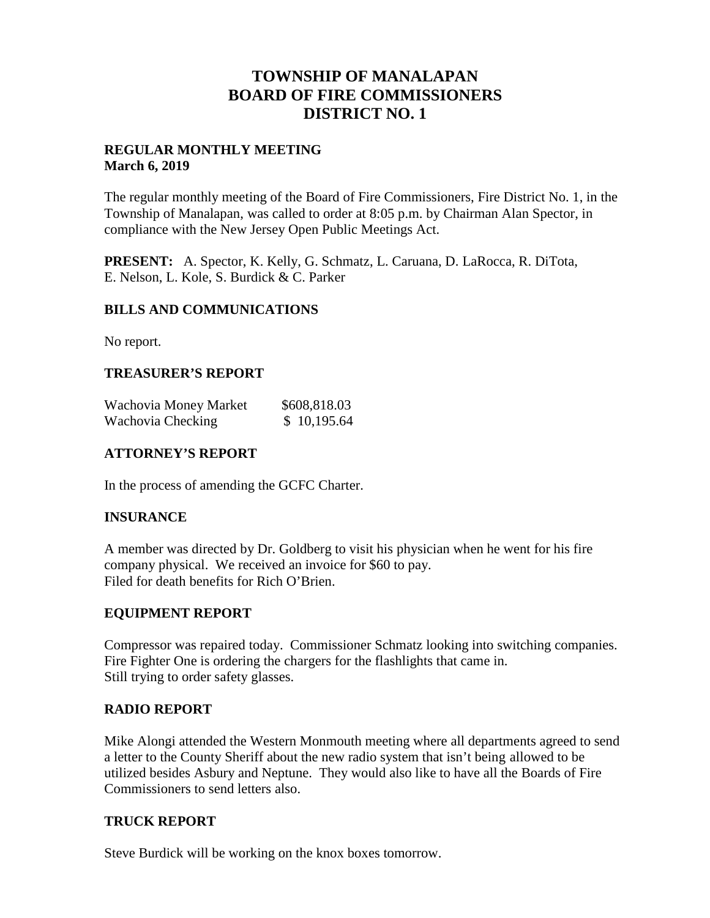## **TOWNSHIP OF MANALAPAN BOARD OF FIRE COMMISSIONERS DISTRICT NO. 1**

#### **REGULAR MONTHLY MEETING March 6, 2019**

The regular monthly meeting of the Board of Fire Commissioners, Fire District No. 1, in the Township of Manalapan, was called to order at 8:05 p.m. by Chairman Alan Spector, in compliance with the New Jersey Open Public Meetings Act.

**PRESENT:** A. Spector, K. Kelly, G. Schmatz, L. Caruana, D. LaRocca, R. DiTota, E. Nelson, L. Kole, S. Burdick & C. Parker

#### **BILLS AND COMMUNICATIONS**

No report.

## **TREASURER'S REPORT**

| Wachovia Money Market | \$608,818.03 |
|-----------------------|--------------|
| Wachovia Checking     | \$10,195.64  |

## **ATTORNEY'S REPORT**

In the process of amending the GCFC Charter.

#### **INSURANCE**

A member was directed by Dr. Goldberg to visit his physician when he went for his fire company physical. We received an invoice for \$60 to pay. Filed for death benefits for Rich O'Brien.

#### **EQUIPMENT REPORT**

Compressor was repaired today. Commissioner Schmatz looking into switching companies. Fire Fighter One is ordering the chargers for the flashlights that came in. Still trying to order safety glasses.

#### **RADIO REPORT**

Mike Alongi attended the Western Monmouth meeting where all departments agreed to send a letter to the County Sheriff about the new radio system that isn't being allowed to be utilized besides Asbury and Neptune. They would also like to have all the Boards of Fire Commissioners to send letters also.

#### **TRUCK REPORT**

Steve Burdick will be working on the knox boxes tomorrow.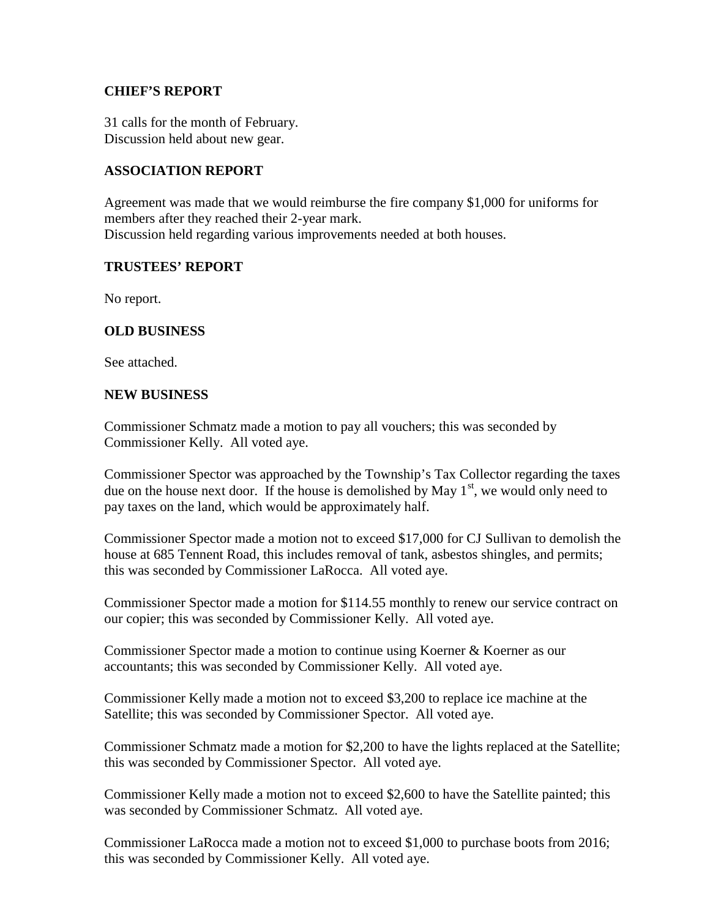#### **CHIEF'S REPORT**

31 calls for the month of February. Discussion held about new gear.

## **ASSOCIATION REPORT**

Agreement was made that we would reimburse the fire company \$1,000 for uniforms for members after they reached their 2-year mark. Discussion held regarding various improvements needed at both houses.

## **TRUSTEES' REPORT**

No report.

## **OLD BUSINESS**

See attached.

#### **NEW BUSINESS**

Commissioner Schmatz made a motion to pay all vouchers; this was seconded by Commissioner Kelly. All voted aye.

Commissioner Spector was approached by the Township's Tax Collector regarding the taxes due on the house next door. If the house is demolished by May  $1<sup>st</sup>$ , we would only need to pay taxes on the land, which would be approximately half.

Commissioner Spector made a motion not to exceed \$17,000 for CJ Sullivan to demolish the house at 685 Tennent Road, this includes removal of tank, asbestos shingles, and permits; this was seconded by Commissioner LaRocca. All voted aye.

Commissioner Spector made a motion for \$114.55 monthly to renew our service contract on our copier; this was seconded by Commissioner Kelly. All voted aye.

Commissioner Spector made a motion to continue using Koerner & Koerner as our accountants; this was seconded by Commissioner Kelly. All voted aye.

Commissioner Kelly made a motion not to exceed \$3,200 to replace ice machine at the Satellite; this was seconded by Commissioner Spector. All voted aye.

Commissioner Schmatz made a motion for \$2,200 to have the lights replaced at the Satellite; this was seconded by Commissioner Spector. All voted aye.

Commissioner Kelly made a motion not to exceed \$2,600 to have the Satellite painted; this was seconded by Commissioner Schmatz. All voted aye.

Commissioner LaRocca made a motion not to exceed \$1,000 to purchase boots from 2016; this was seconded by Commissioner Kelly. All voted aye.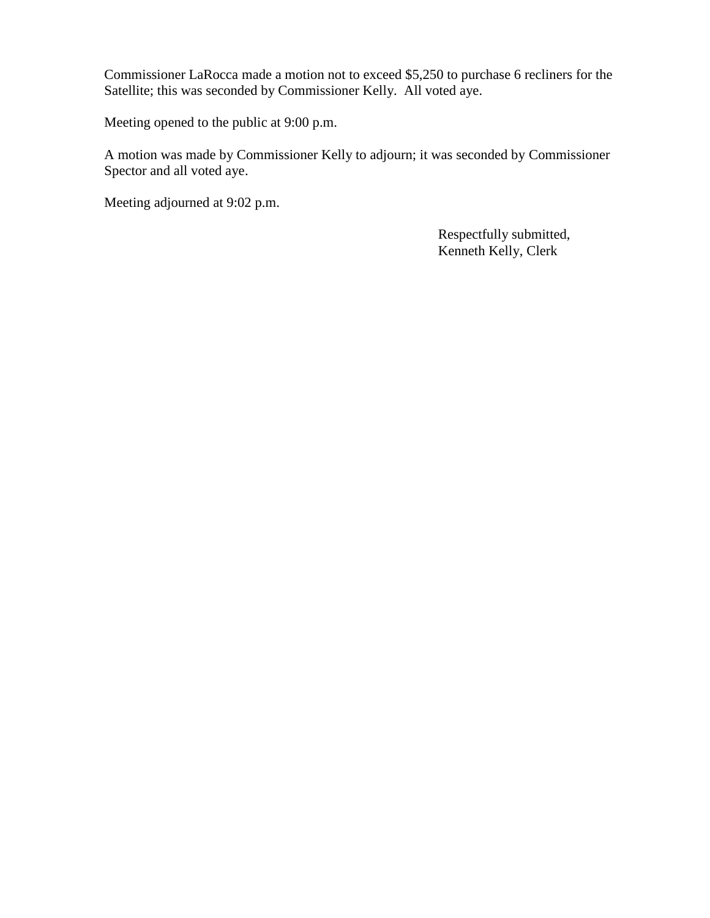Commissioner LaRocca made a motion not to exceed \$5,250 to purchase 6 recliners for the Satellite; this was seconded by Commissioner Kelly. All voted aye.

Meeting opened to the public at 9:00 p.m.

A motion was made by Commissioner Kelly to adjourn; it was seconded by Commissioner Spector and all voted aye.

Meeting adjourned at 9:02 p.m.

Respectfully submitted, Kenneth Kelly, Clerk